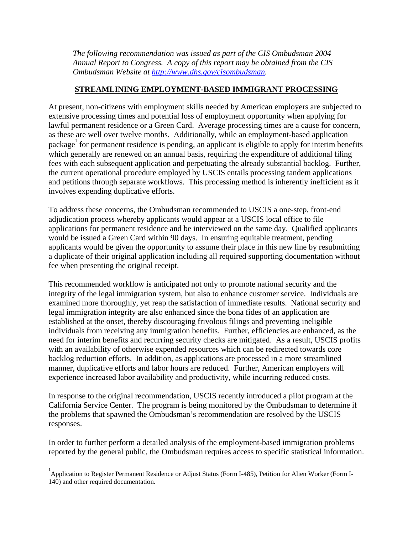*The following recommendation was issued as part of the CIS Ombudsman 2004 Annual Report to Congress. A copy of this report may be obtained from the CIS Ombudsman Website at http://www.dhs.gov/cisombudsman.* 

## **STREAMLINING EMPLOYMENT-BASED IMMIGRANT PROCESSING**

At present, non-citizens with employment skills needed by American employers are subjected to extensive processing times and potential loss of employment opportunity when applying for lawful permanent residence or a Green Card. Average processing times are a cause for concern, as these are well over twelve months. Additionally, while an employment-based application package<sup>1</sup> for permanent residence is pending, an applicant is eligible to apply for interim benefits which generally are renewed on an annual basis, requiring the expenditure of additional filing fees with each subsequent application and perpetuating the already substantial backlog. Further, the current operational procedure employed by USCIS entails processing tandem applications and petitions through separate workflows. This processing method is inherently inefficient as it involves expending duplicative efforts.

To address these concerns, the Ombudsman recommended to USCIS a one-step, front-end adjudication process whereby applicants would appear at a USCIS local office to file applications for permanent residence and be interviewed on the same day. Qualified applicants would be issued a Green Card within 90 days. In ensuring equitable treatment, pending applicants would be given the opportunity to assume their place in this new line by resubmitting a duplicate of their original application including all required supporting documentation without fee when presenting the original receipt.

This recommended workflow is anticipated not only to promote national security and the integrity of the legal immigration system, but also to enhance customer service. Individuals are examined more thoroughly, yet reap the satisfaction of immediate results. National security and legal immigration integrity are also enhanced since the bona fides of an application are established at the onset, thereby discouraging frivolous filings and preventing ineligible individuals from receiving any immigration benefits. Further, efficiencies are enhanced, as the need for interim benefits and recurring security checks are mitigated. As a result, USCIS profits with an availability of otherwise expended resources which can be redirected towards core backlog reduction efforts. In addition, as applications are processed in a more streamlined manner, duplicative efforts and labor hours are reduced. Further, American employers will experience increased labor availability and productivity, while incurring reduced costs.

In response to the original recommendation, USCIS recently introduced a pilot program at the California Service Center. The program is being monitored by the Ombudsman to determine if the problems that spawned the Ombudsman's recommendation are resolved by the USCIS responses.

In order to further perform a detailed analysis of the employment-based immigration problems reported by the general public, the Ombudsman requires access to specific statistical information.

1

<sup>&</sup>lt;sup>1</sup> Application to Register Permanent Residence or Adjust Status (Form I-485), Petition for Alien Worker (Form I-140) and other required documentation.